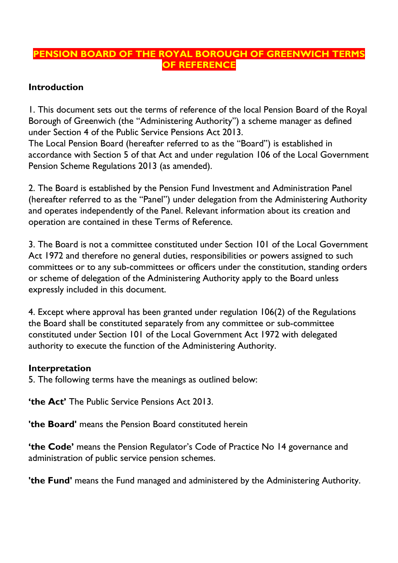## **PENSION BOARD OF THE ROYAL BOROUGH OF GREENWICH TERMS OF REFERENCE**

### **Introduction**

1. This document sets out the terms of reference of the local Pension Board of the Royal Borough of Greenwich (the "Administering Authority") a scheme manager as defined under Section 4 of the Public Service Pensions Act 2013.

The Local Pension Board (hereafter referred to as the "Board") is established in accordance with Section 5 of that Act and under regulation 106 of the Local Government Pension Scheme Regulations 2013 (as amended).

2. The Board is established by the Pension Fund Investment and Administration Panel (hereafter referred to as the "Panel") under delegation from the Administering Authority and operates independently of the Panel. Relevant information about its creation and operation are contained in these Terms of Reference.

3. The Board is not a committee constituted under Section 101 of the Local Government Act 1972 and therefore no general duties, responsibilities or powers assigned to such committees or to any sub-committees or officers under the constitution, standing orders or scheme of delegation of the Administering Authority apply to the Board unless expressly included in this document.

4. Except where approval has been granted under regulation 106(2) of the Regulations the Board shall be constituted separately from any committee or sub-committee constituted under Section 101 of the Local Government Act 1972 with delegated authority to execute the function of the Administering Authority.

### **Interpretation**

5. The following terms have the meanings as outlined below:

**'the Act'** The Public Service Pensions Act 2013.

**'the Board'** means the Pension Board constituted herein

**'the Code'** means the Pension Regulator's Code of Practice No 14 governance and administration of public service pension schemes.

**'the Fund'** means the Fund managed and administered by the Administering Authority.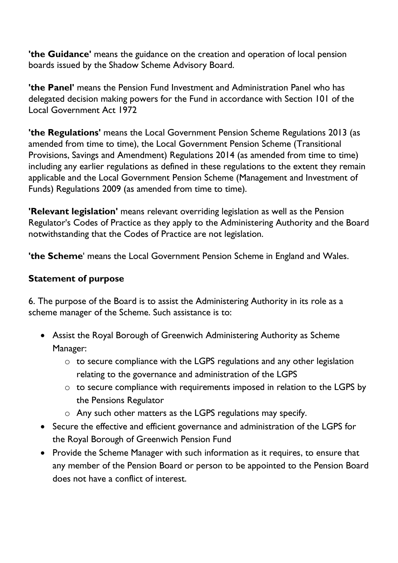**'the Guidance'** means the guidance on the creation and operation of local pension boards issued by the Shadow Scheme Advisory Board.

**'the Panel'** means the Pension Fund Investment and Administration Panel who has delegated decision making powers for the Fund in accordance with Section 101 of the Local Government Act 1972

**'the Regulations'** means the Local Government Pension Scheme Regulations 2013 (as amended from time to time), the Local Government Pension Scheme (Transitional Provisions, Savings and Amendment) Regulations 2014 (as amended from time to time) including any earlier regulations as defined in these regulations to the extent they remain applicable and the Local Government Pension Scheme (Management and Investment of Funds) Regulations 2009 (as amended from time to time).

**'Relevant legislation'** means relevant overriding legislation as well as the Pension Regulator's Codes of Practice as they apply to the Administering Authority and the Board notwithstanding that the Codes of Practice are not legislation.

**'the Scheme**' means the Local Government Pension Scheme in England and Wales.

# **Statement of purpose**

6. The purpose of the Board is to assist the Administering Authority in its role as a scheme manager of the Scheme. Such assistance is to:

- Assist the Royal Borough of Greenwich Administering Authority as Scheme Manager:
	- o to secure compliance with the LGPS regulations and any other legislation relating to the governance and administration of the LGPS
	- o to secure compliance with requirements imposed in relation to the LGPS by the Pensions Regulator
	- o Any such other matters as the LGPS regulations may specify.
- Secure the effective and efficient governance and administration of the LGPS for the Royal Borough of Greenwich Pension Fund
- Provide the Scheme Manager with such information as it requires, to ensure that any member of the Pension Board or person to be appointed to the Pension Board does not have a conflict of interest.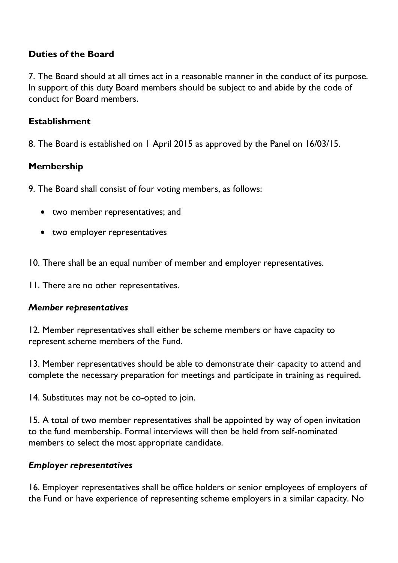### **Duties of the Board**

7. The Board should at all times act in a reasonable manner in the conduct of its purpose. In support of this duty Board members should be subject to and abide by the code of conduct for Board members.

#### **Establishment**

8. The Board is established on 1 April 2015 as approved by the Panel on 16/03/15.

### **Membership**

9. The Board shall consist of four voting members, as follows:

- two member representatives; and
- two employer representatives

10. There shall be an equal number of member and employer representatives.

11. There are no other representatives.

### *Member representatives*

12. Member representatives shall either be scheme members or have capacity to represent scheme members of the Fund.

13. Member representatives should be able to demonstrate their capacity to attend and complete the necessary preparation for meetings and participate in training as required.

14. Substitutes may not be co-opted to join.

15. A total of two member representatives shall be appointed by way of open invitation to the fund membership. Formal interviews will then be held from self-nominated members to select the most appropriate candidate.

### *Employer representatives*

16. Employer representatives shall be office holders or senior employees of employers of the Fund or have experience of representing scheme employers in a similar capacity. No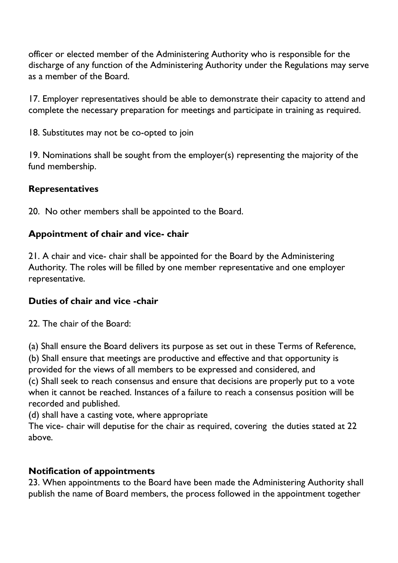officer or elected member of the Administering Authority who is responsible for the discharge of any function of the Administering Authority under the Regulations may serve as a member of the Board.

17. Employer representatives should be able to demonstrate their capacity to attend and complete the necessary preparation for meetings and participate in training as required.

18. Substitutes may not be co-opted to join

19. Nominations shall be sought from the employer(s) representing the majority of the fund membership.

### **Representatives**

20. No other members shall be appointed to the Board.

### **Appointment of chair and vice- chair**

21. A chair and vice- chair shall be appointed for the Board by the Administering Authority*.* The roles will be filled by one member representative and one employer representative.

## **Duties of chair and vice -chair**

22. The chair of the Board:

(a) Shall ensure the Board delivers its purpose as set out in these Terms of Reference, (b) Shall ensure that meetings are productive and effective and that opportunity is

provided for the views of all members to be expressed and considered, and

(c) Shall seek to reach consensus and ensure that decisions are properly put to a vote when it cannot be reached. Instances of a failure to reach a consensus position will be recorded and published.

(d) shall have a casting vote, where appropriate

The vice- chair will deputise for the chair as required, covering the duties stated at 22 above.

### **Notification of appointments**

23. When appointments to the Board have been made the Administering Authority shall publish the name of Board members, the process followed in the appointment together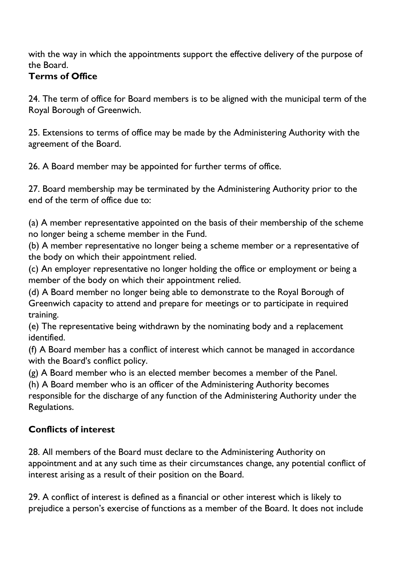with the way in which the appointments support the effective delivery of the purpose of the Board.

# **Terms of Office**

24. The term of office for Board members is to be aligned with the municipal term of the Royal Borough of Greenwich.

25. Extensions to terms of office may be made by the Administering Authority with the agreement of the Board.

26. A Board member may be appointed for further terms of office.

27. Board membership may be terminated by the Administering Authority prior to the end of the term of office due to:

(a) A member representative appointed on the basis of their membership of the scheme no longer being a scheme member in the Fund.

(b) A member representative no longer being a scheme member or a representative of the body on which their appointment relied.

(c) An employer representative no longer holding the office or employment or being a member of the body on which their appointment relied.

(d) A Board member no longer being able to demonstrate to the Royal Borough of Greenwich capacity to attend and prepare for meetings or to participate in required training.

(e) The representative being withdrawn by the nominating body and a replacement identified.

(f) A Board member has a conflict of interest which cannot be managed in accordance with the Board's conflict policy.

(g) A Board member who is an elected member becomes a member of the Panel.

(h) A Board member who is an officer of the Administering Authority becomes

responsible for the discharge of any function of the Administering Authority under the Regulations.

# **Conflicts of interest**

28. All members of the Board must declare to the Administering Authority on appointment and at any such time as their circumstances change, any potential conflict of interest arising as a result of their position on the Board.

29. A conflict of interest is defined as a financial or other interest which is likely to prejudice a person's exercise of functions as a member of the Board. It does not include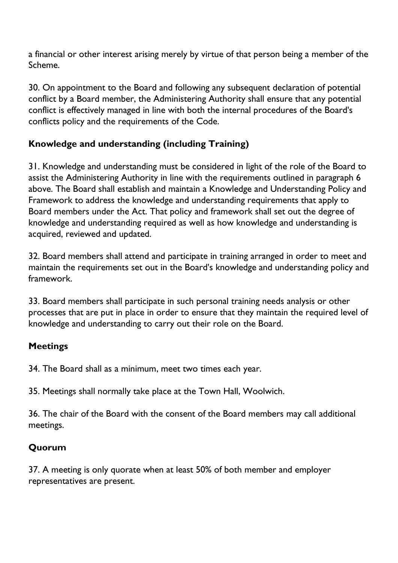a financial or other interest arising merely by virtue of that person being a member of the Scheme.

30. On appointment to the Board and following any subsequent declaration of potential conflict by a Board member, the Administering Authority shall ensure that any potential conflict is effectively managed in line with both the internal procedures of the Board's conflicts policy and the requirements of the Code.

# **Knowledge and understanding (including Training)**

31. Knowledge and understanding must be considered in light of the role of the Board to assist the Administering Authority in line with the requirements outlined in paragraph 6 above. The Board shall establish and maintain a Knowledge and Understanding Policy and Framework to address the knowledge and understanding requirements that apply to Board members under the Act. That policy and framework shall set out the degree of knowledge and understanding required as well as how knowledge and understanding is acquired, reviewed and updated.

32. Board members shall attend and participate in training arranged in order to meet and maintain the requirements set out in the Board's knowledge and understanding policy and framework.

33. Board members shall participate in such personal training needs analysis or other processes that are put in place in order to ensure that they maintain the required level of knowledge and understanding to carry out their role on the Board.

## **Meetings**

34. The Board shall as a minimum, meet two times each year.

35. Meetings shall normally take place at the Town Hall, Woolwich.

36. The chair of the Board with the consent of the Board members may call additional meetings.

## **Quorum**

37. A meeting is only quorate when at least 50% of both member and employer representatives are present.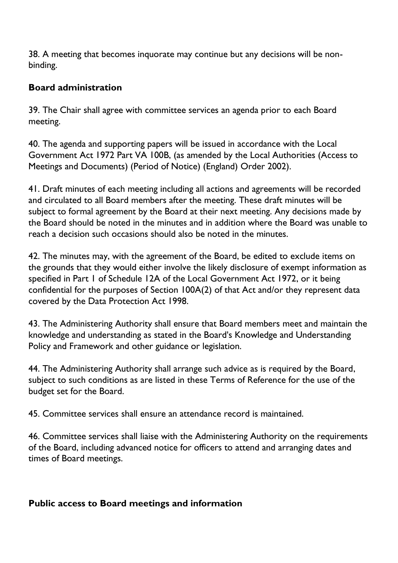38. A meeting that becomes inquorate may continue but any decisions will be nonbinding.

### **Board administration**

39. The Chair shall agree with committee services an agenda prior to each Board meeting.

40. The agenda and supporting papers will be issued in accordance with the Local Government Act 1972 Part VA 100B, (as amended by the Local Authorities (Access to Meetings and Documents) (Period of Notice) (England) Order 2002).

41. Draft minutes of each meeting including all actions and agreements will be recorded and circulated to all Board members after the meeting. These draft minutes will be subject to formal agreement by the Board at their next meeting. Any decisions made by the Board should be noted in the minutes and in addition where the Board was unable to reach a decision such occasions should also be noted in the minutes.

42. The minutes may, with the agreement of the Board, be edited to exclude items on the grounds that they would either involve the likely disclosure of exempt information as specified in Part 1 of Schedule 12A of the Local Government Act 1972, or it being confidential for the purposes of Section 100A(2) of that Act and/or they represent data covered by the Data Protection Act 1998.

43. The Administering Authority shall ensure that Board members meet and maintain the knowledge and understanding as stated in the Board's Knowledge and Understanding Policy and Framework and other guidance or legislation.

44. The Administering Authority shall arrange such advice as is required by the Board, subject to such conditions as are listed in these Terms of Reference for the use of the budget set for the Board.

45. Committee services shall ensure an attendance record is maintained.

46. Committee services shall liaise with the Administering Authority on the requirements of the Board, including advanced notice for officers to attend and arranging dates and times of Board meetings.

### **Public access to Board meetings and information**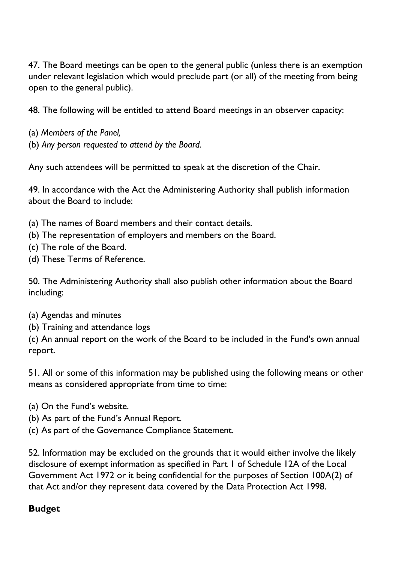47. The Board meetings can be open to the general public (unless there is an exemption under relevant legislation which would preclude part (or all) of the meeting from being open to the general public).

48. The following will be entitled to attend Board meetings in an observer capacity:

- (a) *Members of the Panel,*
- (b) *Any person requested to attend by the Board.*

Any such attendees will be permitted to speak at the discretion of the Chair.

49. In accordance with the Act the Administering Authority shall publish information about the Board to include:

- (a) The names of Board members and their contact details.
- (b) The representation of employers and members on the Board.
- (c) The role of the Board.
- (d) These Terms of Reference.

50. The Administering Authority shall also publish other information about the Board including:

- (a) Agendas and minutes
- (b) Training and attendance logs

(c) An annual report on the work of the Board to be included in the Fund's own annual report.

51. All or some of this information may be published using the following means or other means as considered appropriate from time to time:

- (a) On the Fund's website.
- (b) As part of the Fund's Annual Report.
- (c) As part of the Governance Compliance Statement.

52. Information may be excluded on the grounds that it would either involve the likely disclosure of exempt information as specified in Part 1 of Schedule 12A of the Local Government Act 1972 or it being confidential for the purposes of Section 100A(2) of that Act and/or they represent data covered by the Data Protection Act 1998.

### **Budget**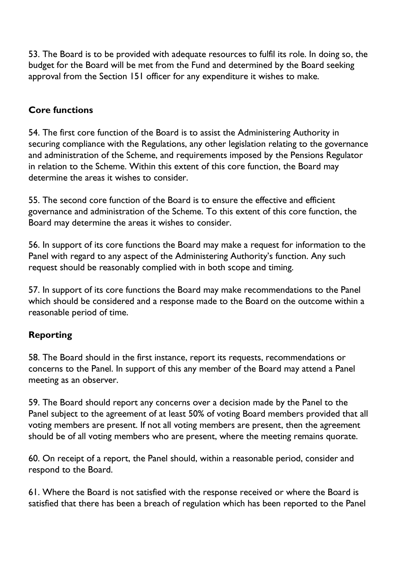53. The Board is to be provided with adequate resources to fulfil its role. In doing so, the budget for the Board will be met from the Fund and determined by the Board seeking approval from the Section 151 officer for any expenditure it wishes to make.

# **Core functions**

54. The first core function of the Board is to assist the Administering Authority in securing compliance with the Regulations, any other legislation relating to the governance and administration of the Scheme, and requirements imposed by the Pensions Regulator in relation to the Scheme. Within this extent of this core function, the Board may determine the areas it wishes to consider.

55. The second core function of the Board is to ensure the effective and efficient governance and administration of the Scheme. To this extent of this core function, the Board may determine the areas it wishes to consider.

56. In support of its core functions the Board may make a request for information to the Panel with regard to any aspect of the Administering Authority's function. Any such request should be reasonably complied with in both scope and timing.

57. In support of its core functions the Board may make recommendations to the Panel which should be considered and a response made to the Board on the outcome within a reasonable period of time.

## **Reporting**

58. The Board should in the first instance, report its requests, recommendations or concerns to the Panel. In support of this any member of the Board may attend a Panel meeting as an observer.

59. The Board should report any concerns over a decision made by the Panel to the Panel subject to the agreement of at least 50% of voting Board members provided that all voting members are present. If not all voting members are present, then the agreement should be of all voting members who are present, where the meeting remains quorate.

60. On receipt of a report, the Panel should, within a reasonable period, consider and respond to the Board.

61. Where the Board is not satisfied with the response received or where the Board is satisfied that there has been a breach of regulation which has been reported to the Panel